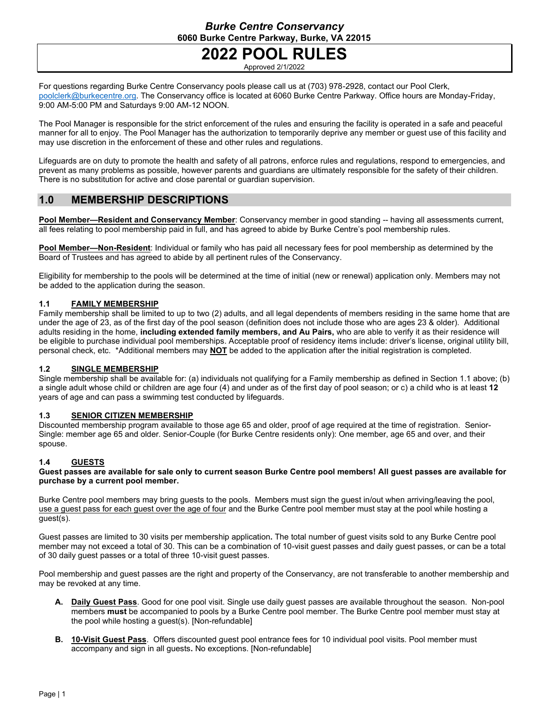# **2022 POOL RULES**

Approved 2/1/2022

For questions regarding Burke Centre Conservancy pools please call us at (703) 978-2928, contact our Pool Clerk, [poolclerk@burkecentre.org.](mailto:poolclerk@burkecentre.org) The Conservancy office is located at 6060 Burke Centre Parkway. Office hours are Monday-Friday, 9:00 AM-5:00 PM and Saturdays 9:00 AM-12 NOON.

The Pool Manager is responsible for the strict enforcement of the rules and ensuring the facility is operated in a safe and peaceful manner for all to enjoy. The Pool Manager has the authorization to temporarily deprive any member or guest use of this facility and may use discretion in the enforcement of these and other rules and regulations.

Lifeguards are on duty to promote the health and safety of all patrons, enforce rules and regulations, respond to emergencies, and prevent as many problems as possible, however parents and guardians are ultimately responsible for the safety of their children. There is no substitution for active and close parental or guardian supervision.

# **1.0 MEMBERSHIP DESCRIPTIONS**

**Pool Member—Resident and Conservancy Member**: Conservancy member in good standing -- having all assessments current, all fees relating to pool membership paid in full, and has agreed to abide by Burke Centre's pool membership rules.

**Pool Member—Non-Resident**: Individual or family who has paid all necessary fees for pool membership as determined by the Board of Trustees and has agreed to abide by all pertinent rules of the Conservancy.

Eligibility for membership to the pools will be determined at the time of initial (new or renewal) application only. Members may not be added to the application during the season.

### **1.1 FAMILY MEMBERSHIP**

Family membership shall be limited to up to two (2) adults, and all legal dependents of members residing in the same home that are under the age of 23, as of the first day of the pool season (definition does not include those who are ages 23 & older). Additional adults residing in the home, **including extended family members, and Au Pairs,** who are able to verify it as their residence will be eligible to purchase individual pool memberships. Acceptable proof of residency items include: driver's license, original utility bill, personal check, etc. \*Additional members may **NOT** be added to the application after the initial registration is completed.

### **1.2 SINGLE MEMBERSHIP**

Single membership shall be available for: (a) individuals not qualifying for a Family membership as defined in Section 1.1 above; (b) a single adult whose child or children are age four (4) and under as of the first day of pool season; or c) a child who is at least **12** years of age and can pass a swimming test conducted by lifeguards.

### **1.3 SENIOR CITIZEN MEMBERSHIP**

Discounted membership program available to those age 65 and older, proof of age required at the time of registration. Senior-Single: member age 65 and older. Senior-Couple (for Burke Centre residents only): One member, age 65 and over, and their spouse.

### **1.4 GUESTS**

**Guest passes are available for sale only to current season Burke Centre pool members! All guest passes are available for purchase by a current pool member.**

Burke Centre pool members may bring guests to the pools. Members must sign the guest in/out when arriving/leaving the pool, use a guest pass for each guest over the age of four and the Burke Centre pool member must stay at the pool while hosting a guest(s).

Guest passes are limited to 30 visits per membership application**.** The total number of guest visits sold to any Burke Centre pool member may not exceed a total of 30. This can be a combination of 10-visit guest passes and daily guest passes, or can be a total of 30 daily guest passes or a total of three 10-visit guest passes.

Pool membership and guest passes are the right and property of the Conservancy, are not transferable to another membership and may be revoked at any time.

- **A. Daily Guest Pass**. Good for one pool visit. Single use daily guest passes are available throughout the season. Non-pool members **must** be accompanied to pools by a Burke Centre pool member. The Burke Centre pool member must stay at the pool while hosting a guest(s). [Non-refundable]
- **B. 10-Visit Guest Pass**. Offers discounted guest pool entrance fees for 10 individual pool visits. Pool member must accompany and sign in all guests**.** No exceptions. [Non-refundable]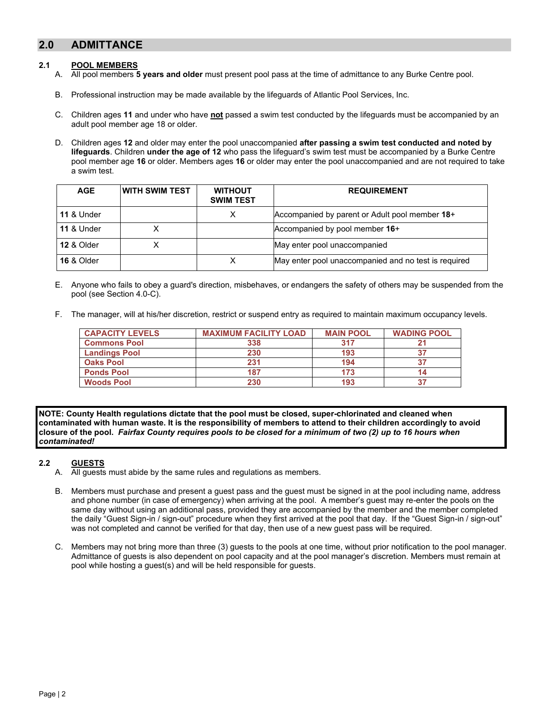# **2.0 ADMITTANCE**

#### **2.1 POOL MEMBERS**

- A. All pool members **5 years and older** must present pool pass at the time of admittance to any Burke Centre pool.
- B. Professional instruction may be made available by the lifeguards of Atlantic Pool Services, Inc.
- C. Children ages **11** and under who have **not** passed a swim test conducted by the lifeguards must be accompanied by an adult pool member age 18 or older.
- D. Children ages **12** and older may enter the pool unaccompanied **after passing a swim test conducted and noted by lifeguards**. Children **under the age of 12** who pass the lifeguard's swim test must be accompanied by a Burke Centre pool member age **16** or older. Members ages **16** or older may enter the pool unaccompanied and are not required to take a swim test.

| <b>AGE</b>            | IWITH SWIM TEST | <b>WITHOUT</b><br><b>SWIM TEST</b> | <b>REQUIREMENT</b>                                   |
|-----------------------|-----------------|------------------------------------|------------------------------------------------------|
| <b>11 &amp; Under</b> |                 | х                                  | Accompanied by parent or Adult pool member 18+       |
| <b>11 &amp; Under</b> |                 |                                    | Accompanied by pool member 16+                       |
| <b>12 &amp; Older</b> |                 |                                    | May enter pool unaccompanied                         |
| <b>16 &amp; Older</b> |                 | х                                  | May enter pool unaccompanied and no test is required |

- E. Anyone who fails to obey a guard's direction, misbehaves, or endangers the safety of others may be suspended from the pool (see Section 4.0-C).
- F. The manager, will at his/her discretion, restrict or suspend entry as required to maintain maximum occupancy levels.

| <b>CAPACITY LEVELS</b> | <b>MAXIMUM FACILITY LOAD</b> | <b>MAIN POOL</b> | <b>WADING POOL</b> |
|------------------------|------------------------------|------------------|--------------------|
| <b>Commons Pool</b>    | 338                          | 317              |                    |
| <b>Landings Pool</b>   | 230                          | 193              |                    |
| <b>Oaks Pool</b>       | 231                          | 194              |                    |
| <b>Ponds Pool</b>      | 187                          | 173              |                    |
| <b>Woods Pool</b>      | 230                          | 193              |                    |

**NOTE: County Health regulations dictate that the pool must be closed, super-chlorinated and cleaned when contaminated with human waste. It is the responsibility of members to attend to their children accordingly to avoid closure of the pool.** *Fairfax County requires pools to be closed for a minimum of two (2) up to 16 hours when contaminated!*

### **2.2 GUESTS**

- A. All guests must abide by the same rules and regulations as members.
- B. Members must purchase and present a guest pass and the guest must be signed in at the pool including name, address and phone number (in case of emergency) when arriving at the pool. A member's guest may re-enter the pools on the same day without using an additional pass, provided they are accompanied by the member and the member completed the daily "Guest Sign-in / sign-out" procedure when they first arrived at the pool that day. If the "Guest Sign-in / sign-out" was not completed and cannot be verified for that day, then use of a new guest pass will be required.
- C. Members may not bring more than three (3) guests to the pools at one time, without prior notification to the pool manager. Admittance of guests is also dependent on pool capacity and at the pool manager's discretion. Members must remain at pool while hosting a guest(s) and will be held responsible for guests.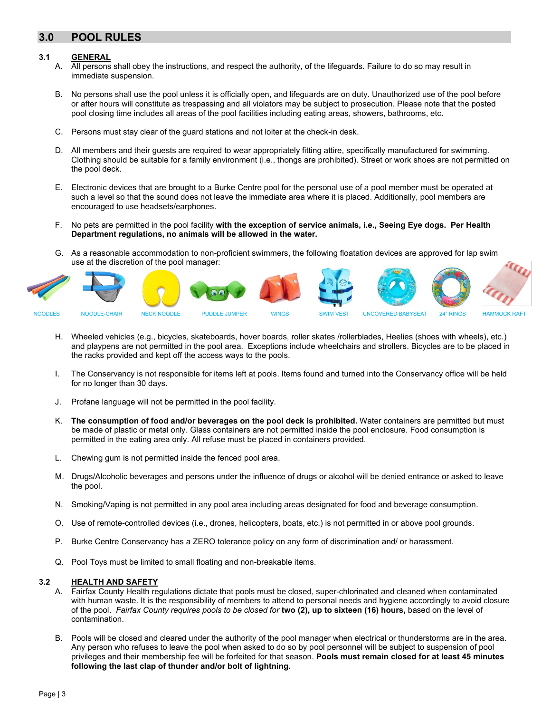# **3.0 POOL RULES**

#### **3.1 GENERAL**

- A. All persons shall obey the instructions, and respect the authority, of the lifeguards. Failure to do so may result in immediate suspension.
- B. No persons shall use the pool unless it is officially open, and lifeguards are on duty. Unauthorized use of the pool before or after hours will constitute as trespassing and all violators may be subject to prosecution. Please note that the posted pool closing time includes all areas of the pool facilities including eating areas, showers, bathrooms, etc.
- C. Persons must stay clear of the guard stations and not loiter at the check-in desk.
- D. All members and their guests are required to wear appropriately fitting attire, specifically manufactured for swimming. Clothing should be suitable for a family environment (i.e., thongs are prohibited). Street or work shoes are not permitted on the pool deck.
- E. Electronic devices that are brought to a Burke Centre pool for the personal use of a pool member must be operated at such a level so that the sound does not leave the immediate area where it is placed. Additionally, pool members are encouraged to use headsets/earphones.
- F. No pets are permitted in the pool facility **with the exception of service animals, i.e., Seeing Eye dogs. Per Health Department regulations, no animals will be allowed in the water.**
- G. As a reasonable accommodation to non-proficient swimmers, the following floatation devices are approved for lap swim use at the discretion of the pool manager:



- H. Wheeled vehicles (e.g., bicycles, skateboards, hover boards, roller skates /rollerblades, Heelies (shoes with wheels), etc.) and playpens are not permitted in the pool area. Exceptions include wheelchairs and strollers. Bicycles are to be placed in the racks provided and kept off the access ways to the pools.
- I. The Conservancy is not responsible for items left at pools. Items found and turned into the Conservancy office will be held for no longer than 30 days.
- J. Profane language will not be permitted in the pool facility.
- K. **The consumption of food and/or beverages on the pool deck is prohibited.** Water containers are permitted but must be made of plastic or metal only. Glass containers are not permitted inside the pool enclosure. Food consumption is permitted in the eating area only. All refuse must be placed in containers provided.
- L. Chewing gum is not permitted inside the fenced pool area.
- M. Drugs/Alcoholic beverages and persons under the influence of drugs or alcohol will be denied entrance or asked to leave the pool.
- N. Smoking/Vaping is not permitted in any pool area including areas designated for food and beverage consumption.
- O. Use of remote-controlled devices (i.e., drones, helicopters, boats, etc.) is not permitted in or above pool grounds.
- P. Burke Centre Conservancy has a ZERO tolerance policy on any form of discrimination and/ or harassment.
- Q. Pool Toys must be limited to small floating and non-breakable items.

#### **3.2 HEALTH AND SAFETY**

- A. Fairfax County Health regulations dictate that pools must be closed, super-chlorinated and cleaned when contaminated with human waste. It is the responsibility of members to attend to personal needs and hygiene accordingly to avoid closure of the pool. *Fairfax County requires pools to be closed for* **two (2), up to sixteen (16) hours,** based on the level of contamination.
- B. Pools will be closed and cleared under the authority of the pool manager when electrical or thunderstorms are in the area. Any person who refuses to leave the pool when asked to do so by pool personnel will be subject to suspension of pool privileges and their membership fee will be forfeited for that season. **Pools must remain closed for at least 45 minutes following the last clap of thunder and/or bolt of lightning.**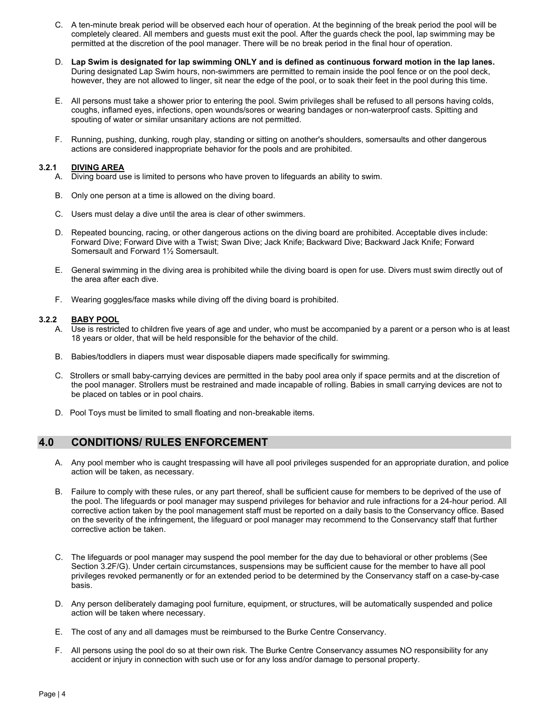- C. A ten-minute break period will be observed each hour of operation. At the beginning of the break period the pool will be completely cleared. All members and guests must exit the pool. After the guards check the pool, lap swimming may be permitted at the discretion of the pool manager. There will be no break period in the final hour of operation.
- D. **Lap Swim is designated for lap swimming ONLY and is defined as continuous forward motion in the lap lanes.** During designated Lap Swim hours, non-swimmers are permitted to remain inside the pool fence or on the pool deck, however, they are not allowed to linger, sit near the edge of the pool, or to soak their feet in the pool during this time.
- E. All persons must take a shower prior to entering the pool. Swim privileges shall be refused to all persons having colds, coughs, inflamed eyes, infections, open wounds/sores or wearing bandages or non-waterproof casts. Spitting and spouting of water or similar unsanitary actions are not permitted.
- F. Running, pushing, dunking, rough play, standing or sitting on another's shoulders, somersaults and other dangerous actions are considered inappropriate behavior for the pools and are prohibited.

#### **3.2.1 DIVING AREA**

- A. Diving board use is limited to persons who have proven to lifeguards an ability to swim.
- B. Only one person at a time is allowed on the diving board.
- C. Users must delay a dive until the area is clear of other swimmers.
- D. Repeated bouncing, racing, or other dangerous actions on the diving board are prohibited. Acceptable dives include: Forward Dive; Forward Dive with a Twist; Swan Dive; Jack Knife; Backward Dive; Backward Jack Knife; Forward Somersault and Forward 1½ Somersault.
- E. General swimming in the diving area is prohibited while the diving board is open for use. Divers must swim directly out of the area after each dive.
- F. Wearing goggles/face masks while diving off the diving board is prohibited.

### **3.2.2 BABY POOL**

- A. Use is restricted to children five years of age and under, who must be accompanied by a parent or a person who is at least 18 years or older, that will be held responsible for the behavior of the child.
- B. Babies/toddlers in diapers must wear disposable diapers made specifically for swimming.
- C. Strollers or small baby-carrying devices are permitted in the baby pool area only if space permits and at the discretion of the pool manager. Strollers must be restrained and made incapable of rolling. Babies in small carrying devices are not to be placed on tables or in pool chairs.
- D. Pool Toys must be limited to small floating and non-breakable items.

### **4.0 CONDITIONS/ RULES ENFORCEMENT**

- A. Any pool member who is caught trespassing will have all pool privileges suspended for an appropriate duration, and police action will be taken, as necessary.
- B. Failure to comply with these rules, or any part thereof, shall be sufficient cause for members to be deprived of the use of the pool. The lifeguards or pool manager may suspend privileges for behavior and rule infractions for a 24-hour period. All corrective action taken by the pool management staff must be reported on a daily basis to the Conservancy office. Based on the severity of the infringement, the lifeguard or pool manager may recommend to the Conservancy staff that further corrective action be taken.
- C. The lifeguards or pool manager may suspend the pool member for the day due to behavioral or other problems (See Section 3.2F/G). Under certain circumstances, suspensions may be sufficient cause for the member to have all pool privileges revoked permanently or for an extended period to be determined by the Conservancy staff on a case-by-case basis.
- D. Any person deliberately damaging pool furniture, equipment, or structures, will be automatically suspended and police action will be taken where necessary.
- E. The cost of any and all damages must be reimbursed to the Burke Centre Conservancy.
- F. All persons using the pool do so at their own risk. The Burke Centre Conservancy assumes NO responsibility for any accident or injury in connection with such use or for any loss and/or damage to personal property.